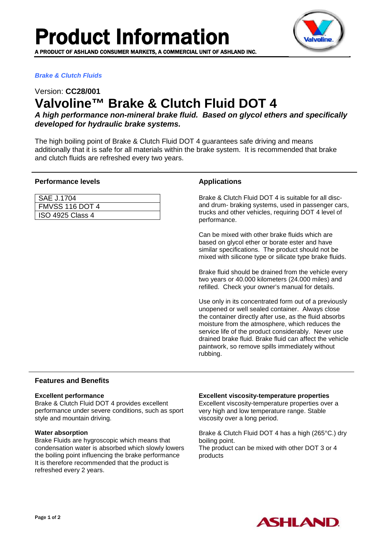

# *Brake & Clutch Fluids*

# Version: **CC28/001 Valvoline™ Brake & Clutch Fluid DOT 4**

*A high performance non-mineral brake fluid. Based on glycol ethers and specifically developed for hydraulic brake systems.*

The high boiling point of Brake & Clutch Fluid DOT 4 guarantees safe driving and means additionally that it is safe for all materials within the brake system. It is recommended that brake and clutch fluids are refreshed every two years.

# **Performance levels**

| SAE J.1704              |  |
|-------------------------|--|
| <b>FMVSS 116 DOT 4</b>  |  |
| <b>ISO 4925 Class 4</b> |  |

# **Applications**

Brake & Clutch Fluid DOT 4 is suitable for all discand drum- braking systems, used in passenger cars, trucks and other vehicles, requiring DOT 4 level of performance.

Can be mixed with other brake fluids which are based on glycol ether or borate ester and have similar specifications. The product should not be mixed with silicone type or silicate type brake fluids.

Brake fluid should be drained from the vehicle every two years or 40.000 kilometers (24.000 miles) and refilled. Check your owner's manual for details.

Use only in its concentrated form out of a previously unopened or well sealed container. Always close the container directly after use, as the fluid absorbs moisture from the atmosphere, which reduces the service life of the product considerably. Never use drained brake fluid. Brake fluid can affect the vehicle paintwork, so remove spills immediately without rubbing.

#### **Features and Benefits**

#### **Excellent performance**

Brake & Clutch Fluid DOT 4 provides excellent performance under severe conditions, such as sport style and mountain driving.

#### **Water absorption**

Brake Fluids are hygroscopic which means that condensation water is absorbed which slowly lowers the boiling point influencing the brake performance It is therefore recommended that the product is refreshed every 2 years.

#### **Excellent viscosity-temperature properties**

Excellent viscosity-temperature properties over a very high and low temperature range. Stable viscosity over a long period.

Brake & Clutch Fluid DOT 4 has a high (265°C.) dry boiling point. The product can be mixed with other DOT 3 or 4 products